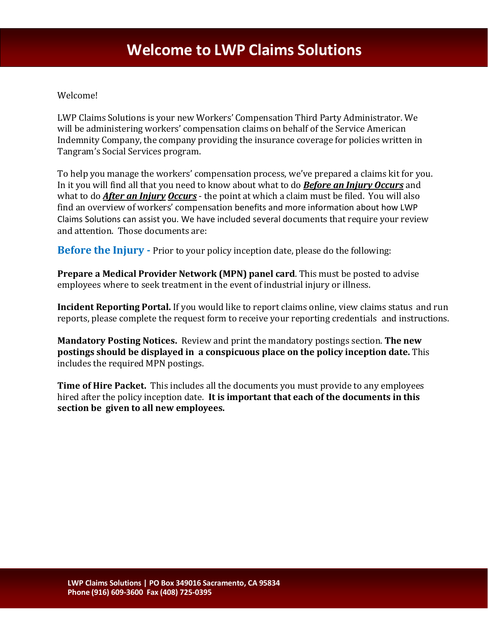## Welcome!

LWP Claims Solutions is your new Workers' Compensation Third Party Administrator. We will be administering workers' compensation claims on behalf of the Service American Indemnity Company, the company providing the insurance coverage for policies written in Tangram's Social Services program.

To help you manage the workers' compensation process, we've prepared a claims kit for you. In it you will find all that you need to know about what to do *Before an Injury Occurs* and what to do *After an Injury Occurs* - the point at which a claim must be filed. You will also find an overview of workers' compensation benefits and more information about how LWP Claims Solutions can assist you. We have included several documents that require your review and attention. Those documents are:

**Before the Injury -** Prior to your policy inception date, please do the following:

**Prepare a Medical Provider Network (MPN) panel card**. This must be posted to advise employees where to seek treatment in the event of industrial injury or illness.

**Incident Reporting Portal.** If you would like to report claims online, view claims status and run reports, please complete the request form to receive your reporting credentials and instructions.

**Mandatory Posting Notices.** Review and print the mandatory postings section. **The new postings should be displayed in a conspicuous place on the policy inception date.** This includes the required MPN postings.

**Time of Hire Packet.** This includes all the documents you must provide to any employees hired after the policy inception date. **It is important that each of the documents in this section be given to all new employees.**